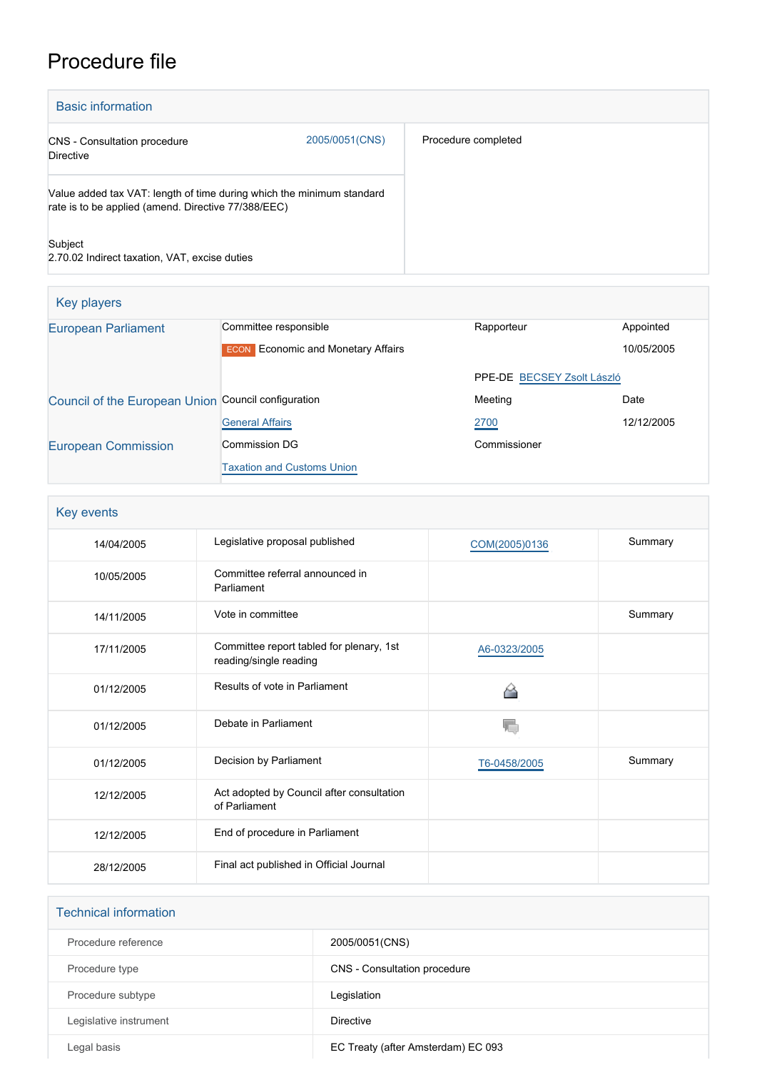# Procedure file

| <b>Basic information</b>                                                                                                     |                |                     |
|------------------------------------------------------------------------------------------------------------------------------|----------------|---------------------|
| <b>CNS</b> - Consultation procedure<br><b>Directive</b>                                                                      | 2005/0051(CNS) | Procedure completed |
| Value added tax VAT: length of time during which the minimum standard<br>rate is to be applied (amend. Directive 77/388/EEC) |                |                     |
| Subject<br>2.70.02 Indirect taxation, VAT, excise duties                                                                     |                |                     |

| Key players                                         |                                           |                            |            |
|-----------------------------------------------------|-------------------------------------------|----------------------------|------------|
| <b>European Parliament</b>                          | Committee responsible                     | Rapporteur                 | Appointed  |
|                                                     | <b>ECON</b> Economic and Monetary Affairs |                            | 10/05/2005 |
|                                                     |                                           | PPE-DE BECSEY Zsolt László |            |
| Council of the European Union Council configuration |                                           | Meeting                    | Date       |
|                                                     | <b>General Affairs</b>                    | 2700                       | 12/12/2005 |
| <b>European Commission</b>                          | <b>Commission DG</b>                      | Commissioner               |            |
|                                                     | <b>Taxation and Customs Union</b>         |                            |            |

| Key events |                                                                    |               |         |
|------------|--------------------------------------------------------------------|---------------|---------|
| 14/04/2005 | Legislative proposal published                                     | COM(2005)0136 | Summary |
| 10/05/2005 | Committee referral announced in<br>Parliament                      |               |         |
| 14/11/2005 | Vote in committee                                                  |               | Summary |
| 17/11/2005 | Committee report tabled for plenary, 1st<br>reading/single reading | A6-0323/2005  |         |
| 01/12/2005 | Results of vote in Parliament                                      | ◠             |         |
| 01/12/2005 | Debate in Parliament                                               | V.            |         |
| 01/12/2005 | Decision by Parliament                                             | T6-0458/2005  | Summary |
| 12/12/2005 | Act adopted by Council after consultation<br>of Parliament         |               |         |
| 12/12/2005 | End of procedure in Parliament                                     |               |         |
| 28/12/2005 | Final act published in Official Journal                            |               |         |

| <b>Technical information</b> |                                    |
|------------------------------|------------------------------------|
| Procedure reference          | 2005/0051(CNS)                     |
| Procedure type               | CNS - Consultation procedure       |
| Procedure subtype            | Legislation                        |
| Legislative instrument       | <b>Directive</b>                   |
| Legal basis                  | EC Treaty (after Amsterdam) EC 093 |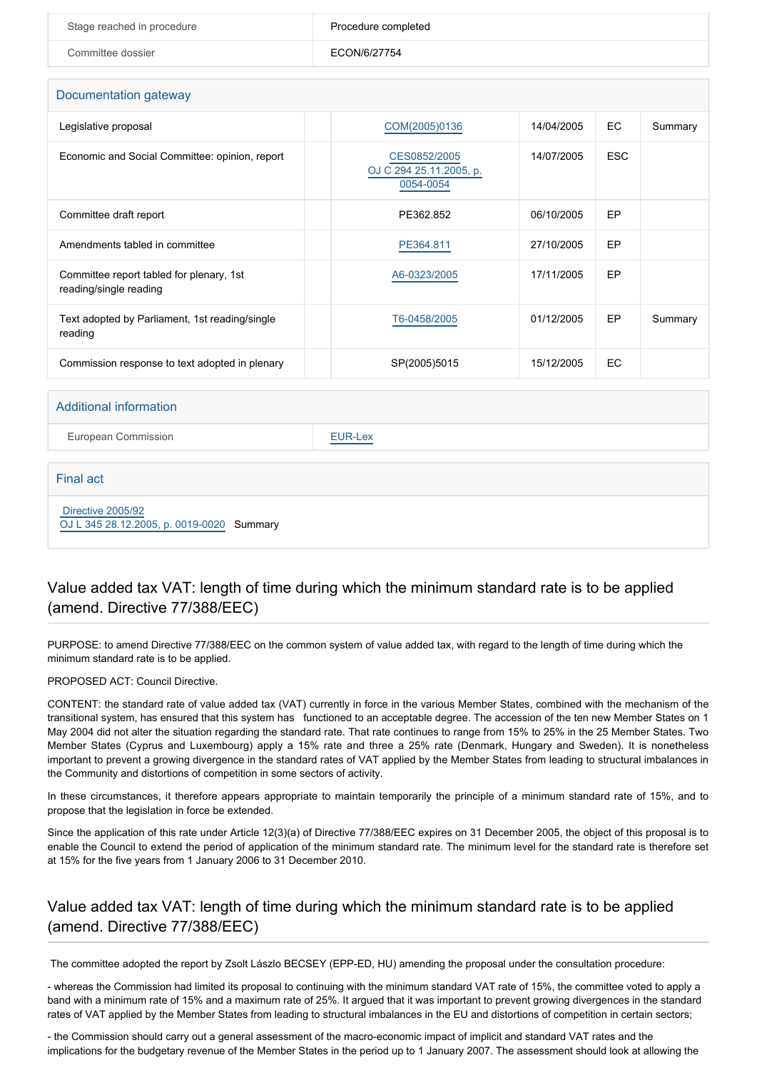| Stage reached in procedure | Procedure completed |
|----------------------------|---------------------|
| Committee dossier          | ECON/6/27754        |

#### Documentation gateway

| DUCUMULIQUUM YOUUWOY                                               |                                                      |            |            |         |
|--------------------------------------------------------------------|------------------------------------------------------|------------|------------|---------|
| Legislative proposal                                               | COM(2005)0136                                        | 14/04/2005 | EC.        | Summary |
| Economic and Social Committee: opinion, report                     | CES0852/2005<br>OJ C 294 25.11.2005, p.<br>0054-0054 | 14/07/2005 | <b>ESC</b> |         |
| Committee draft report                                             | PE362.852                                            | 06/10/2005 | EP         |         |
| Amendments tabled in committee                                     | PE364.811                                            | 27/10/2005 | EP         |         |
| Committee report tabled for plenary, 1st<br>reading/single reading | A6-0323/2005                                         | 17/11/2005 | EP         |         |
| Text adopted by Parliament, 1st reading/single<br>reading          | T6-0458/2005                                         | 01/12/2005 | EP         | Summary |
| Commission response to text adopted in plenary                     | SP(2005)5015                                         | 15/12/2005 | <b>EC</b>  |         |

#### Additional information

European Commission **[EUR-Lex](http://ec.europa.eu/prelex/liste_resultats.cfm?CL=en&ReqId=0&DocType=CNS&DocYear=2005&DocNum=0051)** 

#### Final act

 [Directive 2005/92](https://eur-lex.europa.eu/smartapi/cgi/sga_doc?smartapi!celexplus!prod!CELEXnumdoc&lg=EN&numdoc=32005L0092) [OJ L 345 28.12.2005, p. 0019-0020](https://eur-lex.europa.eu/legal-content/EN/TXT/?uri=OJ:L:2005:345:TOC) Summary

## Value added tax VAT: length of time during which the minimum standard rate is to be applied (amend. Directive 77/388/EEC)

PURPOSE: to amend Directive 77/388/EEC on the common system of value added tax, with regard to the length of time during which the minimum standard rate is to be applied.

#### PROPOSED ACT: Council Directive.

CONTENT: the standard rate of value added tax (VAT) currently in force in the various Member States, combined with the mechanism of the transitional system, has ensured that this system has functioned to an acceptable degree. The accession of the ten new Member States on 1 May 2004 did not alter the situation regarding the standard rate. That rate continues to range from 15% to 25% in the 25 Member States. Two Member States (Cyprus and Luxembourg) apply a 15% rate and three a 25% rate (Denmark, Hungary and Sweden). It is nonetheless important to prevent a growing divergence in the standard rates of VAT applied by the Member States from leading to structural imbalances in the Community and distortions of competition in some sectors of activity.

In these circumstances, it therefore appears appropriate to maintain temporarily the principle of a minimum standard rate of 15%, and to propose that the legislation in force be extended.

Since the application of this rate under Article 12(3)(a) of Directive 77/388/EEC expires on 31 December 2005, the object of this proposal is to enable the Council to extend the period of application of the minimum standard rate. The minimum level for the standard rate is therefore set at 15% for the five years from 1 January 2006 to 31 December 2010.

## Value added tax VAT: length of time during which the minimum standard rate is to be applied (amend. Directive 77/388/EEC)

The committee adopted the report by Zsolt Lászlo BECSEY (EPP-ED, HU) amending the proposal under the consultation procedure:

- whereas the Commission had limited its proposal to continuing with the minimum standard VAT rate of 15%, the committee voted to apply a band with a minimum rate of 15% and a maximum rate of 25%. It argued that it was important to prevent growing divergences in the standard rates of VAT applied by the Member States from leading to structural imbalances in the EU and distortions of competition in certain sectors;

- the Commission should carry out a general assessment of the macro-economic impact of implicit and standard VAT rates and the implications for the budgetary revenue of the Member States in the period up to 1 January 2007. The assessment should look at allowing the